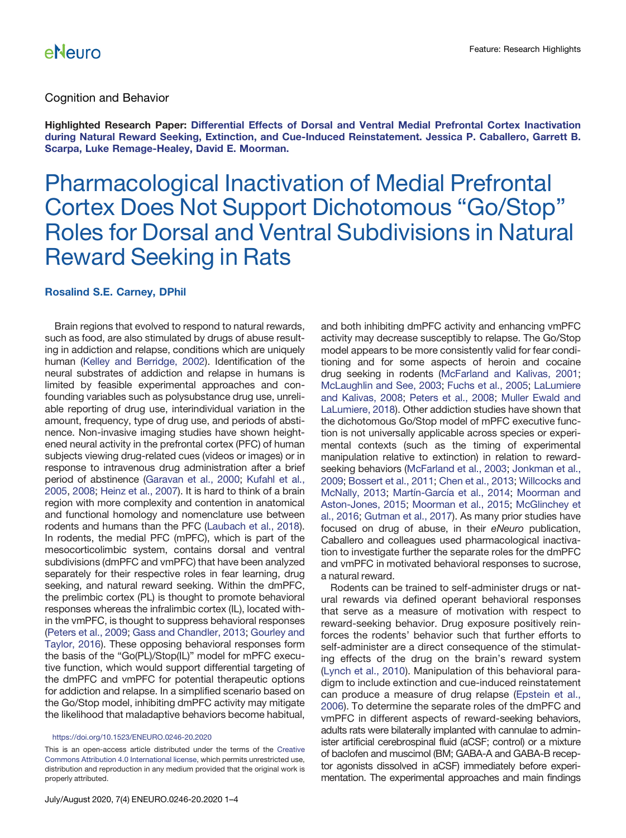#### Cognition and Behavior

Highlighted Research Paper: [Differential Effects of Dorsal and Ventral Medial Prefrontal Cortex Inactivation](https://doi.org/10.1523/ENEURO.0296-19.2019) [during Natural Reward Seeking, Extinction, and Cue-Induced Reinstatement. Jessica P. Caballero, Garrett B.](https://doi.org/10.1523/ENEURO.0296-19.2019) [Scarpa, Luke Remage-Healey, David E. Moorman.](https://doi.org/10.1523/ENEURO.0296-19.2019)

# Pharmacological Inactivation of Medial Prefrontal Cortex Does Not Support Dichotomous "Go/Stop" Roles for Dorsal and Ventral Subdivisions in Natural Reward Seeking in Rats

#### Rosalind S.E. Carney, DPhil

Brain regions that evolved to respond to natural rewards, such as food, are also stimulated by drugs of abuse resulting in addiction and relapse, conditions which are uniquely human ([Kelley and Berridge, 2002](#page-3-0)). Identification of the neural substrates of addiction and relapse in humans is limited by feasible experimental approaches and confounding variables such as polysubstance drug use, unreliable reporting of drug use, interindividual variation in the amount, frequency, type of drug use, and periods of abstinence. Non-invasive imaging studies have shown heightened neural activity in the prefrontal cortex (PFC) of human subjects viewing drug-related cues (videos or images) or in response to intravenous drug administration after a brief period of abstinence [\(Garavan et al., 2000](#page-3-1); [Kufahl et al.,](#page-3-2) [2005,](#page-3-2) [2008;](#page-3-3) [Heinz et al., 2007](#page-3-4)). It is hard to think of a brain region with more complexity and contention in anatomical and functional homology and nomenclature use between rodents and humans than the PFC ([Laubach et al., 2018](#page-3-5)). In rodents, the medial PFC (mPFC), which is part of the mesocorticolimbic system, contains dorsal and ventral subdivisions (dmPFC and vmPFC) that have been analyzed separately for their respective roles in fear learning, drug seeking, and natural reward seeking. Within the dmPFC, the prelimbic cortex (PL) is thought to promote behavioral responses whereas the infralimbic cortex (IL), located within the vmPFC, is thought to suppress behavioral responses [\(Peters et al., 2009](#page-3-6); [Gass and Chandler, 2013](#page-3-7); [Gourley and](#page-3-8) [Taylor, 2016](#page-3-8)). These opposing behavioral responses form the basis of the "Go(PL)/Stop(IL)" model for mPFC executive function, which would support differential targeting of the dmPFC and vmPFC for potential therapeutic options for addiction and relapse. In a simplified scenario based on the Go/Stop model, inhibiting dmPFC activity may mitigate the likelihood that maladaptive behaviors become habitual,

#### <https://doi.org/10.1523/ENEURO.0246-20.2020>

This is an open-access article distributed under the terms of the [Creative](http://creativecommons.org/licenses/by/4.0/) [Commons Attribution 4.0 International license,](http://creativecommons.org/licenses/by/4.0/) which permits unrestricted use, distribution and reproduction in any medium provided that the original work is properly attributed.

and both inhibiting dmPFC activity and enhancing vmPFC activity may decrease susceptibly to relapse. The Go/Stop model appears to be more consistently valid for fear conditioning and for some aspects of heroin and cocaine drug seeking in rodents [\(McFarland and Kalivas, 2001](#page-3-9); [McLaughlin and See, 2003;](#page-3-10) [Fuchs et al., 2005;](#page-2-0) [LaLumiere](#page-3-11) [and Kalivas, 2008](#page-3-11); [Peters et al., 2008](#page-3-12); [Muller Ewald and](#page-3-13) [LaLumiere, 2018](#page-3-13)). Other addiction studies have shown that the dichotomous Go/Stop model of mPFC executive function is not universally applicable across species or experimental contexts (such as the timing of experimental manipulation relative to extinction) in relation to rewardseeking behaviors [\(McFarland et al., 2003;](#page-3-14) [Jonkman et al.,](#page-3-15) [2009;](#page-3-15) [Bossert et al., 2011;](#page-2-1) [Chen et al., 2013](#page-2-2); [Willcocks and](#page-3-16) [McNally, 2013;](#page-3-16) [Martín-García et al., 2014;](#page-3-17) [Moorman and](#page-3-18) [Aston-Jones, 2015;](#page-3-18) [Moorman et al., 2015](#page-3-19); [McGlinchey et](#page-3-20) [al., 2016;](#page-3-20) [Gutman et al., 2017\)](#page-3-21). As many prior studies have focused on drug of abuse, in their eNeuro publication, Caballero and colleagues used pharmacological inactivation to investigate further the separate roles for the dmPFC and vmPFC in motivated behavioral responses to sucrose, a natural reward.

Rodents can be trained to self-administer drugs or natural rewards via defined operant behavioral responses that serve as a measure of motivation with respect to reward-seeking behavior. Drug exposure positively reinforces the rodents' behavior such that further efforts to self-administer are a direct consequence of the stimulating effects of the drug on the brain's reward system [\(Lynch et al., 2010\)](#page-3-22). Manipulation of this behavioral paradigm to include extinction and cue-induced reinstatement can produce a measure of drug relapse ([Epstein et al.,](#page-2-3) [2006](#page-2-3)). To determine the separate roles of the dmPFC and vmPFC in different aspects of reward-seeking behaviors, adults rats were bilaterally implanted with cannulae to administer artificial cerebrospinal fluid (aCSF; control) or a mixture of baclofen and muscimol (BM; GABA-A and GABA-B receptor agonists dissolved in aCSF) immediately before experimentation. The experimental approaches and main findings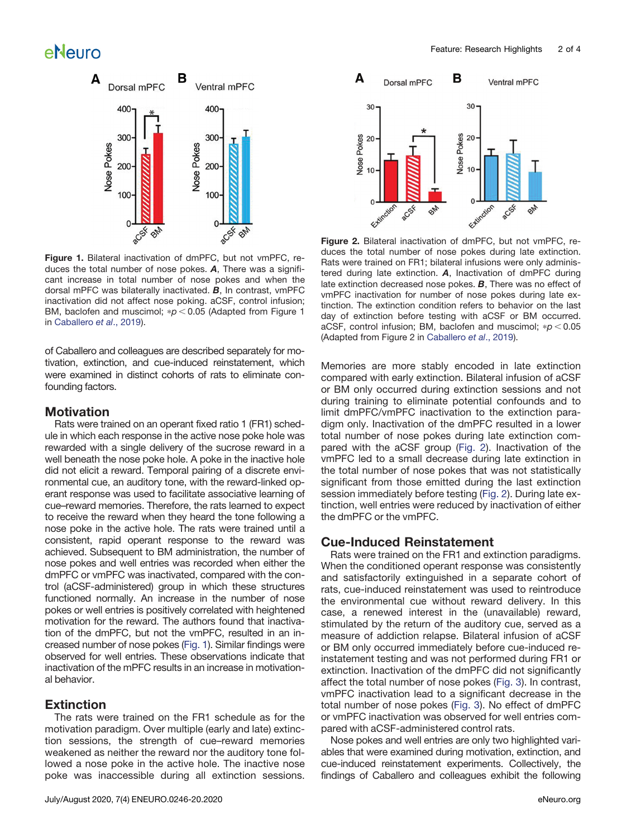# eNeuro



<span id="page-1-0"></span>Figure 1. Bilateral inactivation of dmPFC, but not vmPFC, reduces the total number of nose pokes. A, There was a significant increase in total number of nose pokes and when the dorsal mPFC was bilaterally inactivated. B, In contrast, vmPFC inactivation did not affect nose poking. aCSF, control infusion; BM, baclofen and muscimol;  $p < 0.05$  (Adapted from Figure 1 in [Caballero](#page-2-5) et al., 2019).

of Caballero and colleagues are described separately for motivation, extinction, and cue-induced reinstatement, which were examined in distinct cohorts of rats to eliminate confounding factors.

### **Motivation**

Rats were trained on an operant fixed ratio 1 (FR1) schedule in which each response in the active nose poke hole was rewarded with a single delivery of the sucrose reward in a well beneath the nose poke hole. A poke in the inactive hole did not elicit a reward. Temporal pairing of a discrete environmental cue, an auditory tone, with the reward-linked operant response was used to facilitate associative learning of cue–reward memories. Therefore, the rats learned to expect to receive the reward when they heard the tone following a nose poke in the active hole. The rats were trained until a consistent, rapid operant response to the reward was achieved. Subsequent to BM administration, the number of nose pokes and well entries was recorded when either the dmPFC or vmPFC was inactivated, compared with the control (aCSF-administered) group in which these structures functioned normally. An increase in the number of nose pokes or well entries is positively correlated with heightened motivation for the reward. The authors found that inactivation of the dmPFC, but not the vmPFC, resulted in an increased number of nose pokes [\(Fig. 1](#page-1-0)). Similar findings were observed for well entries. These observations indicate that inactivation of the mPFC results in an increase in motivational behavior.

### **Extinction**

The rats were trained on the FR1 schedule as for the motivation paradigm. Over multiple (early and late) extinction sessions, the strength of cue–reward memories weakened as neither the reward nor the auditory tone followed a nose poke in the active hole. The inactive nose poke was inaccessible during all extinction sessions.



<span id="page-1-1"></span>Figure 2. Bilateral inactivation of dmPFC, but not vmPFC, reduces the total number of nose pokes during late extinction. Rats were trained on FR1; bilateral infusions were only administered during late extinction.  $A$ , Inactivation of dmPFC during late extinction decreased nose pokes.  $B$ , There was no effect of vmPFC inactivation for number of nose pokes during late extinction. The extinction condition refers to behavior on the last day of extinction before testing with aCSF or BM occurred. aCSF, control infusion; BM, baclofen and muscimol;  $* p < 0.05$ (Adapted from Figure 2 in [Caballero](#page-2-5) et al., 2019).

Memories are more stably encoded in late extinction compared with early extinction. Bilateral infusion of aCSF or BM only occurred during extinction sessions and not during training to eliminate potential confounds and to limit dmPFC/vmPFC inactivation to the extinction paradigm only. Inactivation of the dmPFC resulted in a lower total number of nose pokes during late extinction compared with the aCSF group ([Fig. 2](#page-1-1)). Inactivation of the vmPFC led to a small decrease during late extinction in the total number of nose pokes that was not statistically significant from those emitted during the last extinction session immediately before testing ([Fig. 2](#page-1-1)). During late extinction, well entries were reduced by inactivation of either the dmPFC or the vmPFC.

#### Cue-Induced Reinstatement

Rats were trained on the FR1 and extinction paradigms. When the conditioned operant response was consistently and satisfactorily extinguished in a separate cohort of rats, cue-induced reinstatement was used to reintroduce the environmental cue without reward delivery. In this case, a renewed interest in the (unavailable) reward, stimulated by the return of the auditory cue, served as a measure of addiction relapse. Bilateral infusion of aCSF or BM only occurred immediately before cue-induced reinstatement testing and was not performed during FR1 or extinction. Inactivation of the dmPFC did not significantly affect the total number of nose pokes ([Fig. 3\)](#page-2-4). In contrast, vmPFC inactivation lead to a significant decrease in the total number of nose pokes [\(Fig. 3](#page-2-4)). No effect of dmPFC or vmPFC inactivation was observed for well entries compared with aCSF-administered control rats.

Nose pokes and well entries are only two highlighted variables that were examined during motivation, extinction, and cue-induced reinstatement experiments. Collectively, the findings of Caballero and colleagues exhibit the following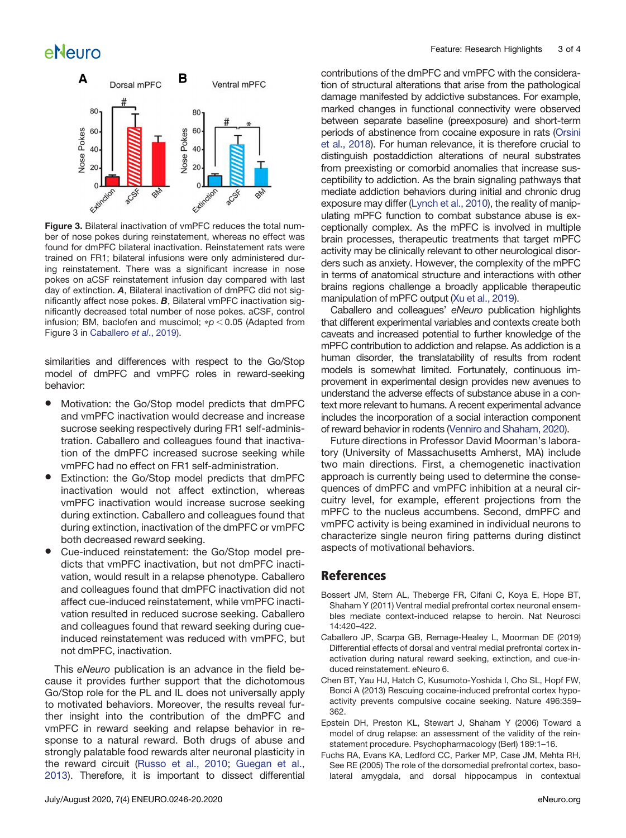

<span id="page-2-4"></span>Figure 3. Bilateral inactivation of vmPFC reduces the total number of nose pokes during reinstatement, whereas no effect was found for dmPFC bilateral inactivation. Reinstatement rats were trained on FR1; bilateral infusions were only administered during reinstatement. There was a significant increase in nose pokes on aCSF reinstatement infusion day compared with last day of extinction. A, Bilateral inactivation of dmPFC did not significantly affect nose pokes. **B**, Bilateral vmPFC inactivation significantly decreased total number of nose pokes. aCSF, control infusion; BM, baclofen and muscimol;  $\sp{p}$  < 0.05 (Adapted from Figure 3 in [Caballero](#page-2-5) et al., 2019).

similarities and differences with respect to the Go/Stop model of dmPFC and vmPFC roles in reward-seeking behavior:

- Motivation: the Go/Stop model predicts that dmPFC and vmPFC inactivation would decrease and increase sucrose seeking respectively during FR1 self-administration. Caballero and colleagues found that inactivation of the dmPFC increased sucrose seeking while vmPFC had no effect on FR1 self-administration.
- Extinction: the Go/Stop model predicts that dmPFC inactivation would not affect extinction, whereas vmPFC inactivation would increase sucrose seeking during extinction. Caballero and colleagues found that during extinction, inactivation of the dmPFC or vmPFC both decreased reward seeking.
- Cue-induced reinstatement: the Go/Stop model predicts that vmPFC inactivation, but not dmPFC inactivation, would result in a relapse phenotype. Caballero and colleagues found that dmPFC inactivation did not affect cue-induced reinstatement, while vmPFC inactivation resulted in reduced sucrose seeking. Caballero and colleagues found that reward seeking during cueinduced reinstatement was reduced with vmPFC, but not dmPFC, inactivation.

This eNeuro publication is an advance in the field because it provides further support that the dichotomous Go/Stop role for the PL and IL does not universally apply to motivated behaviors. Moreover, the results reveal further insight into the contribution of the dmPFC and vmPFC in reward seeking and relapse behavior in response to a natural reward. Both drugs of abuse and strongly palatable food rewards alter neuronal plasticity in the reward circuit ([Russo et al., 2010;](#page-3-23) [Guegan et al.,](#page-3-24) [2013](#page-3-24)). Therefore, it is important to dissect differential contributions of the dmPFC and vmPFC with the consideration of structural alterations that arise from the pathological damage manifested by addictive substances. For example, marked changes in functional connectivity were observed between separate baseline (preexposure) and short-term periods of abstinence from cocaine exposure in rats [\(Orsini](#page-3-25) [et al., 2018](#page-3-25)). For human relevance, it is therefore crucial to distinguish postaddiction alterations of neural substrates from preexisting or comorbid anomalies that increase susceptibility to addiction. As the brain signaling pathways that mediate addiction behaviors during initial and chronic drug exposure may differ ([Lynch et al., 2010\)](#page-3-22), the reality of manipulating mPFC function to combat substance abuse is exceptionally complex. As the mPFC is involved in multiple brain processes, therapeutic treatments that target mPFC activity may be clinically relevant to other neurological disorders such as anxiety. However, the complexity of the mPFC in terms of anatomical structure and interactions with other brains regions challenge a broadly applicable therapeutic manipulation of mPFC output [\(Xu et al., 2019\)](#page-3-26).

Caballero and colleagues' eNeuro publication highlights that different experimental variables and contexts create both caveats and increased potential to further knowledge of the mPFC contribution to addiction and relapse. As addiction is a human disorder, the translatability of results from rodent models is somewhat limited. Fortunately, continuous improvement in experimental design provides new avenues to understand the adverse effects of substance abuse in a context more relevant to humans. A recent experimental advance includes the incorporation of a social interaction component of reward behavior in rodents [\(Venniro and Shaham, 2020\)](#page-3-27).

Future directions in Professor David Moorman's laboratory (University of Massachusetts Amherst, MA) include two main directions. First, a chemogenetic inactivation approach is currently being used to determine the consequences of dmPFC and vmPFC inhibition at a neural circuitry level, for example, efferent projections from the mPFC to the nucleus accumbens. Second, dmPFC and vmPFC activity is being examined in individual neurons to characterize single neuron firing patterns during distinct aspects of motivational behaviors.

### **References**

- <span id="page-2-1"></span>Bossert JM, Stern AL, Theberge FR, Cifani C, Koya E, Hope BT, Shaham Y (2011) Ventral medial prefrontal cortex neuronal ensembles mediate context-induced relapse to heroin. Nat Neurosci 14:420–422.
- <span id="page-2-5"></span>Caballero JP, Scarpa GB, Remage-Healey L, Moorman DE (2019) Differential effects of dorsal and ventral medial prefrontal cortex inactivation during natural reward seeking, extinction, and cue-induced reinstatement. eNeuro 6.
- <span id="page-2-2"></span>Chen BT, Yau HJ, Hatch C, Kusumoto-Yoshida I, Cho SL, Hopf FW, Bonci A (2013) Rescuing cocaine-induced prefrontal cortex hypoactivity prevents compulsive cocaine seeking. Nature 496:359– 362.
- <span id="page-2-3"></span>Epstein DH, Preston KL, Stewart J, Shaham Y (2006) Toward a model of drug relapse: an assessment of the validity of the reinstatement procedure. Psychopharmacology (Berl) 189:1–16.
- <span id="page-2-0"></span>Fuchs RA, Evans KA, Ledford CC, Parker MP, Case JM, Mehta RH, See RE (2005) The role of the dorsomedial prefrontal cortex, basolateral amygdala, and dorsal hippocampus in contextual